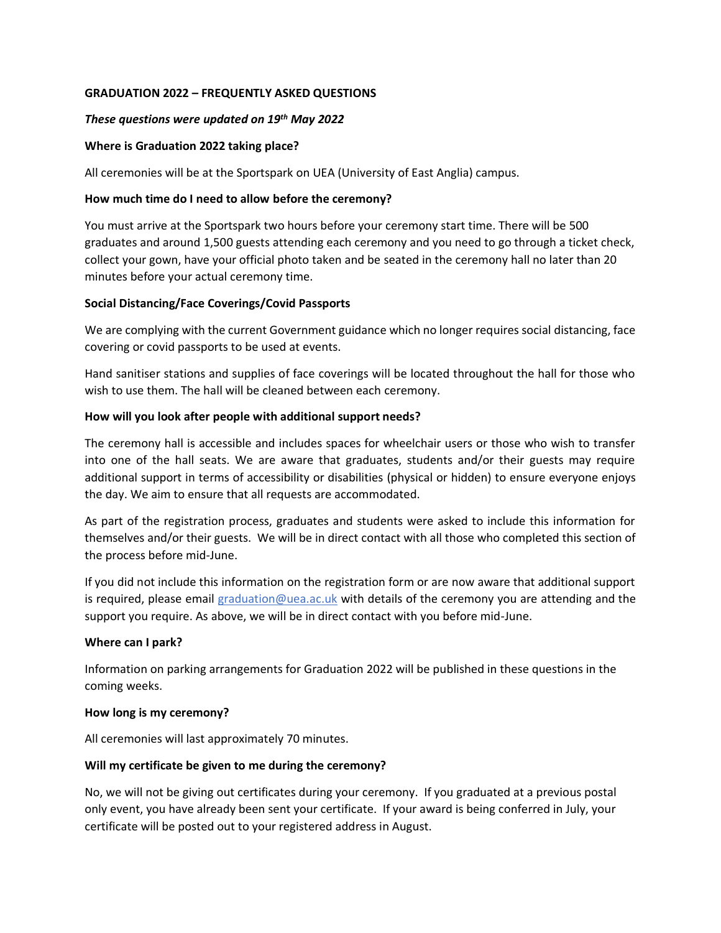# **GRADUATION 2022 – FREQUENTLY ASKED QUESTIONS**

# *These questions were updated on 19th May 2022*

## **Where is Graduation 2022 taking place?**

All ceremonies will be at the Sportspark on UEA (University of East Anglia) campus.

## **How much time do I need to allow before the ceremony?**

You must arrive at the Sportspark two hours before your ceremony start time. There will be 500 graduates and around 1,500 guests attending each ceremony and you need to go through a ticket check, collect your gown, have your official photo taken and be seated in the ceremony hall no later than 20 minutes before your actual ceremony time.

# **Social Distancing/Face Coverings/Covid Passports**

We are complying with the current Government guidance which no longer requires social distancing, face covering or covid passports to be used at events.

Hand sanitiser stations and supplies of face coverings will be located throughout the hall for those who wish to use them. The hall will be cleaned between each ceremony.

### **How will you look after people with additional support needs?**

The ceremony hall is accessible and includes spaces for wheelchair users or those who wish to transfer into one of the hall seats. We are aware that graduates, students and/or their guests may require additional support in terms of accessibility or disabilities (physical or hidden) to ensure everyone enjoys the day. We aim to ensure that all requests are accommodated.

As part of the registration process, graduates and students were asked to include this information for themselves and/or their guests. We will be in direct contact with all those who completed this section of the process before mid-June.

If you did not include this information on the registration form or are now aware that additional support is required, please email [graduation@uea.ac.uk](mailto:graduation@uea.ac.uk) with details of the ceremony you are attending and the support you require. As above, we will be in direct contact with you before mid-June.

#### **Where can I park?**

Information on parking arrangements for Graduation 2022 will be published in these questions in the coming weeks.

#### **How long is my ceremony?**

All ceremonies will last approximately 70 minutes.

# **Will my certificate be given to me during the ceremony?**

No, we will not be giving out certificates during your ceremony. If you graduated at a previous postal only event, you have already been sent your certificate. If your award is being conferred in July, your certificate will be posted out to your registered address in August.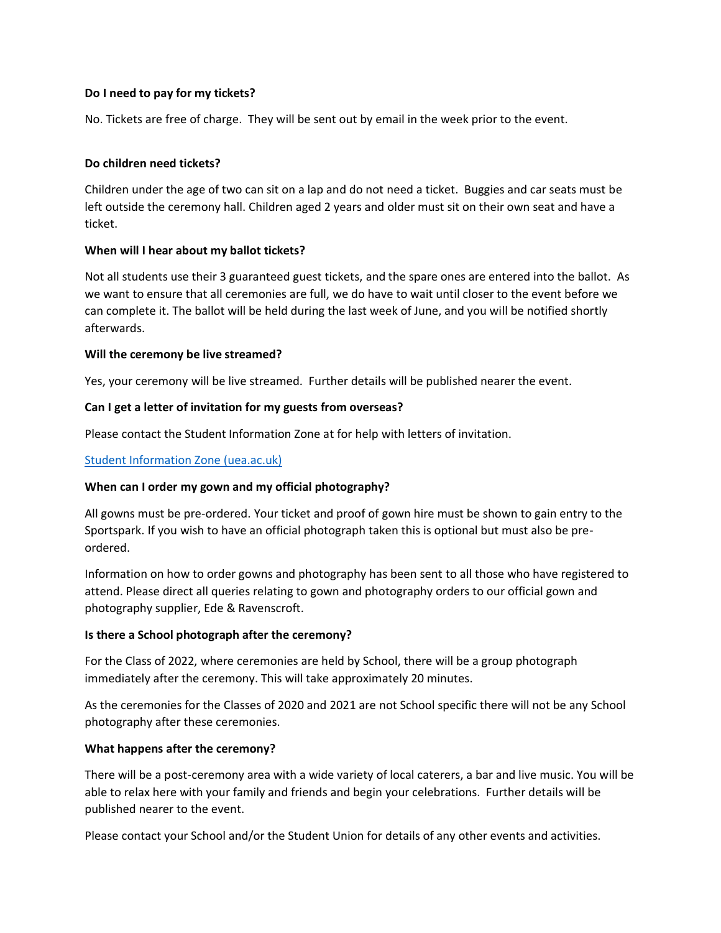# **Do I need to pay for my tickets?**

No. Tickets are free of charge. They will be sent out by email in the week prior to the event.

## **Do children need tickets?**

Children under the age of two can sit on a lap and do not need a ticket. Buggies and car seats must be left outside the ceremony hall. Children aged 2 years and older must sit on their own seat and have a ticket.

### **When will I hear about my ballot tickets?**

Not all students use their 3 guaranteed guest tickets, and the spare ones are entered into the ballot. As we want to ensure that all ceremonies are full, we do have to wait until closer to the event before we can complete it. The ballot will be held during the last week of June, and you will be notified shortly afterwards.

#### **Will the ceremony be live streamed?**

Yes, your ceremony will be live streamed. Further details will be published nearer the event.

### **Can I get a letter of invitation for my guests from overseas?**

Please contact the Student Information Zone at for help with letters of invitation.

## [Student Information Zone \(uea.ac.uk\)](https://www.uea.ac.uk/uea-life/student-support/student-information-zone)

#### **When can I order my gown and my official photography?**

All gowns must be pre-ordered. Your ticket and proof of gown hire must be shown to gain entry to the Sportspark. If you wish to have an official photograph taken this is optional but must also be preordered.

Information on how to order gowns and photography has been sent to all those who have registered to attend. Please direct all queries relating to gown and photography orders to our official gown and photography supplier, Ede & Ravenscroft.

#### **Is there a School photograph after the ceremony?**

For the Class of 2022, where ceremonies are held by School, there will be a group photograph immediately after the ceremony. This will take approximately 20 minutes.

As the ceremonies for the Classes of 2020 and 2021 are not School specific there will not be any School photography after these ceremonies.

#### **What happens after the ceremony?**

There will be a post-ceremony area with a wide variety of local caterers, a bar and live music. You will be able to relax here with your family and friends and begin your celebrations. Further details will be published nearer to the event.

Please contact your School and/or the Student Union for details of any other events and activities.